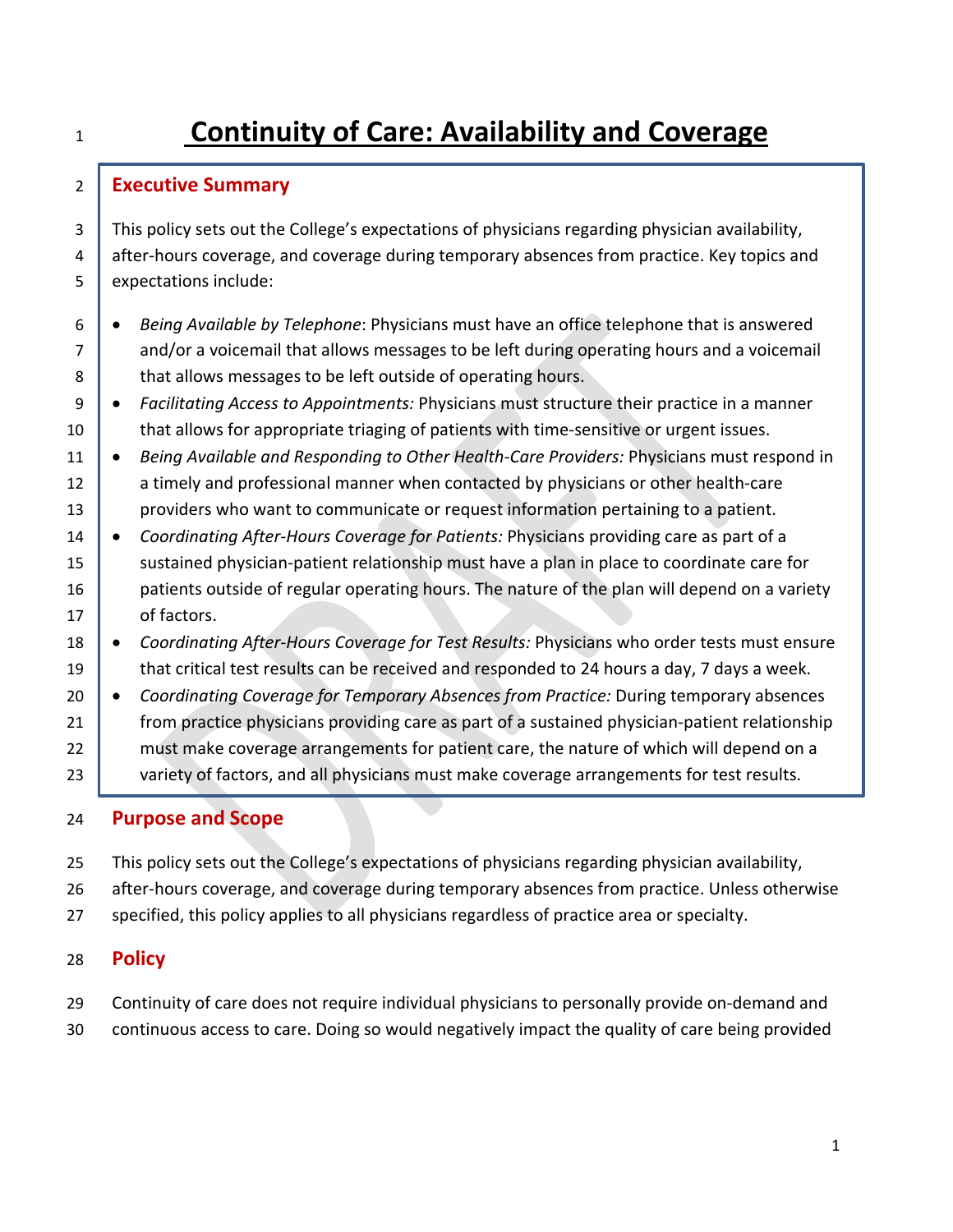# **Continuity of Care: Availability and Coverage**

# **Executive Summary**

3 This policy sets out the College's expectations of physicians regarding physician availability, 4 after-hours coverage, and coverage during temporary absences from practice. Key topics and 5 expectations include:

- *Being Available by Telephone*: Physicians must have an office telephone that is answered 7 and/or a voicemail that allows messages to be left during operating hours and a voicemail 8 that allows messages to be left outside of operating hours.
- *Facilitating Access to Appointments:* Physicians must structure their practice in a manner 10 that allows for appropriate triaging of patients with time-sensitive or urgent issues.
- *Being Available and Responding to Other Health-Care Providers:* Physicians must respond in 12 a timely and professional manner when contacted by physicians or other health-care **providers who want to communicate or request information pertaining to a patient.**
- *Coordinating After-Hours Coverage for Patients:* Physicians providing care as part of a 15 sustained physician-patient relationship must have a plan in place to coordinate care for **patients outside of regular operating hours.** The nature of the plan will depend on a variety 17 of factors.
- *Coordinating After-Hours Coverage for Test Results:* Physicians who order tests must ensure 19 that critical test results can be received and responded to 24 hours a day, 7 days a week.
- *Coordinating Coverage for Temporary Absences from Practice:* During temporary absences **from practice physicians providing care as part of a sustained physician-patient relationship** 22 must make coverage arrangements for patient care, the nature of which will depend on a 23 variety of factors, and all physicians must make coverage arrangements for test results.

# **Purpose and Scope**

- This policy sets out the College's expectations of physicians regarding physician availability,
- after-hours coverage, and coverage during temporary absences from practice. Unless otherwise
- specified, this policy applies to all physicians regardless of practice area or specialty.

# **Policy**

- Continuity of care does not require individual physicians to personally provide on-demand and
- continuous access to care. Doing so would negatively impact the quality of care being provided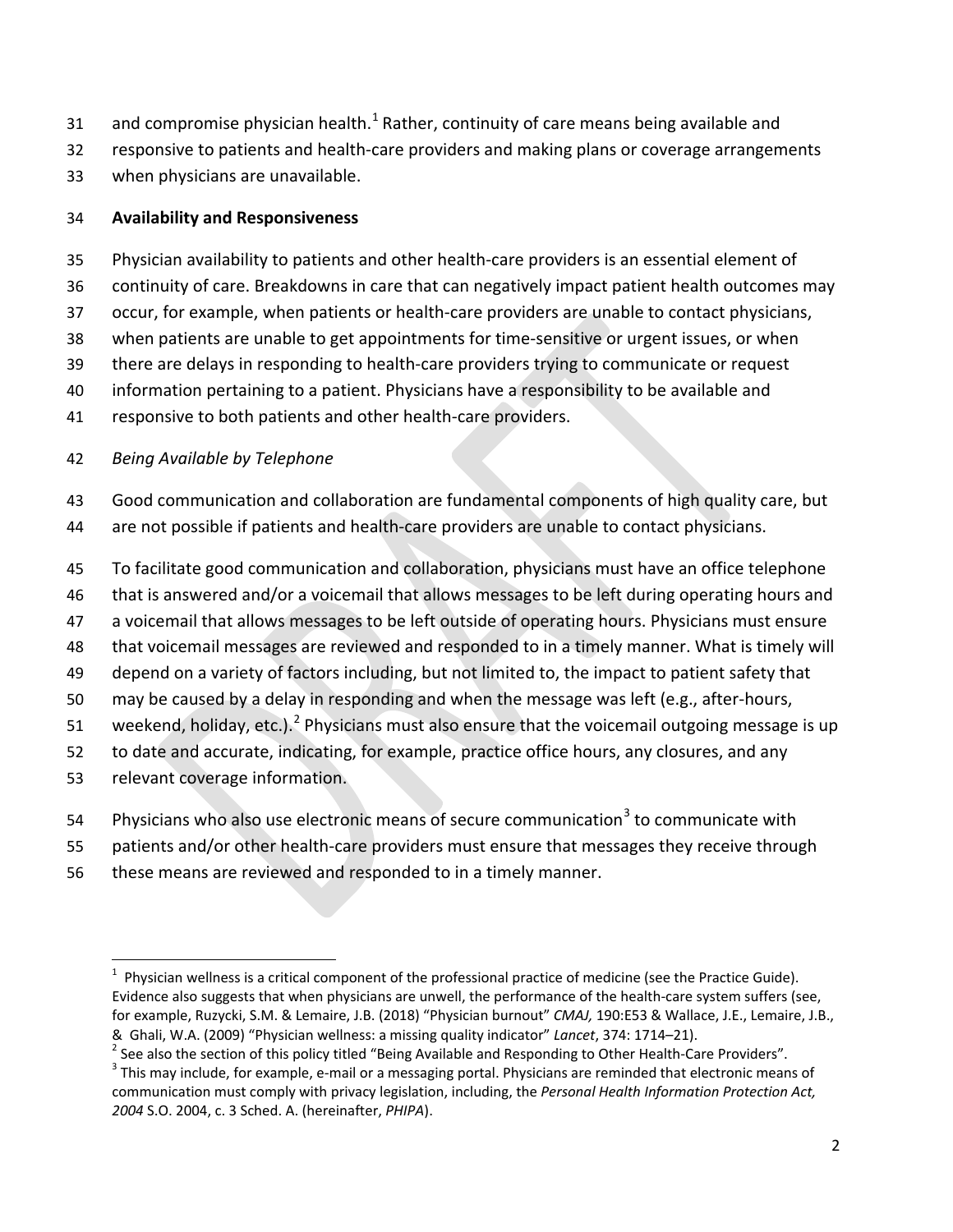- 3[1](#page-1-0) and compromise physician health. $^1$  Rather, continuity of care means being available and
- responsive to patients and health-care providers and making plans or coverage arrangements
- when physicians are unavailable.

#### **Availability and Responsiveness**

- Physician availability to patients and other health-care providers is an essential element of
- continuity of care. Breakdowns in care that can negatively impact patient health outcomes may
- occur, for example, when patients or health-care providers are unable to contact physicians,
- when patients are unable to get appointments for time-sensitive or urgent issues, or when
- there are delays in responding to health-care providers trying to communicate or request
- information pertaining to a patient. Physicians have a responsibility to be available and
- responsive to both patients and other health-care providers.

# *Being Available by Telephone*

- Good communication and collaboration are fundamental components of high quality care, but are not possible if patients and health-care providers are unable to contact physicians.
- To facilitate good communication and collaboration, physicians must have an office telephone
- that is answered and/or a voicemail that allows messages to be left during operating hours and
- a voicemail that allows messages to be left outside of operating hours. Physicians must ensure
- that voicemail messages are reviewed and responded to in a timely manner. What is timely will
- depend on a variety of factors including, but not limited to, the impact to patient safety that
- may be caused by a delay in responding and when the message was left (e.g., after-hours,
- 51 weekend, holiday, etc.).<sup>[2](#page-1-1)</sup> Physicians must also ensure that the voicemail outgoing message is up
- to date and accurate, indicating, for example, practice office hours, any closures, and any
- relevant coverage information.
- 54 Physicians who also use electronic means of secure communication<sup>[3](#page-1-2)</sup> to communicate with
- patients and/or other health-care providers must ensure that messages they receive through
- these means are reviewed and responded to in a timely manner.

<span id="page-1-0"></span> $\frac{1}{1}$  Physician wellness is a critical component of the professional practice of medicine (see the Practice Guide). Evidence also suggests that when physicians are unwell, the performance of the health-care system suffers (see, for example, Ruzycki, S.M. & Lemaire, J.B. (2018) "Physician burnout" *CMAJ,* 190:E53 & Wallace, J.E., Lemaire, J.B., & Ghali, W.A. (2009) "Physician wellness: a missing quality indicator" Lancet, 374: 1714–21).<br>
<sup>2</sup> See also the section of this policy titled "Being Available and Responding to Other Health-Care Providers".<br>
<sup>3</sup> This may

<span id="page-1-1"></span>

<span id="page-1-2"></span>communication must comply with privacy legislation, including, the *Personal Health Information Protection Act,*  S.O. 2004, c. 3 Sched. A. (hereinafter, *PHIPA*).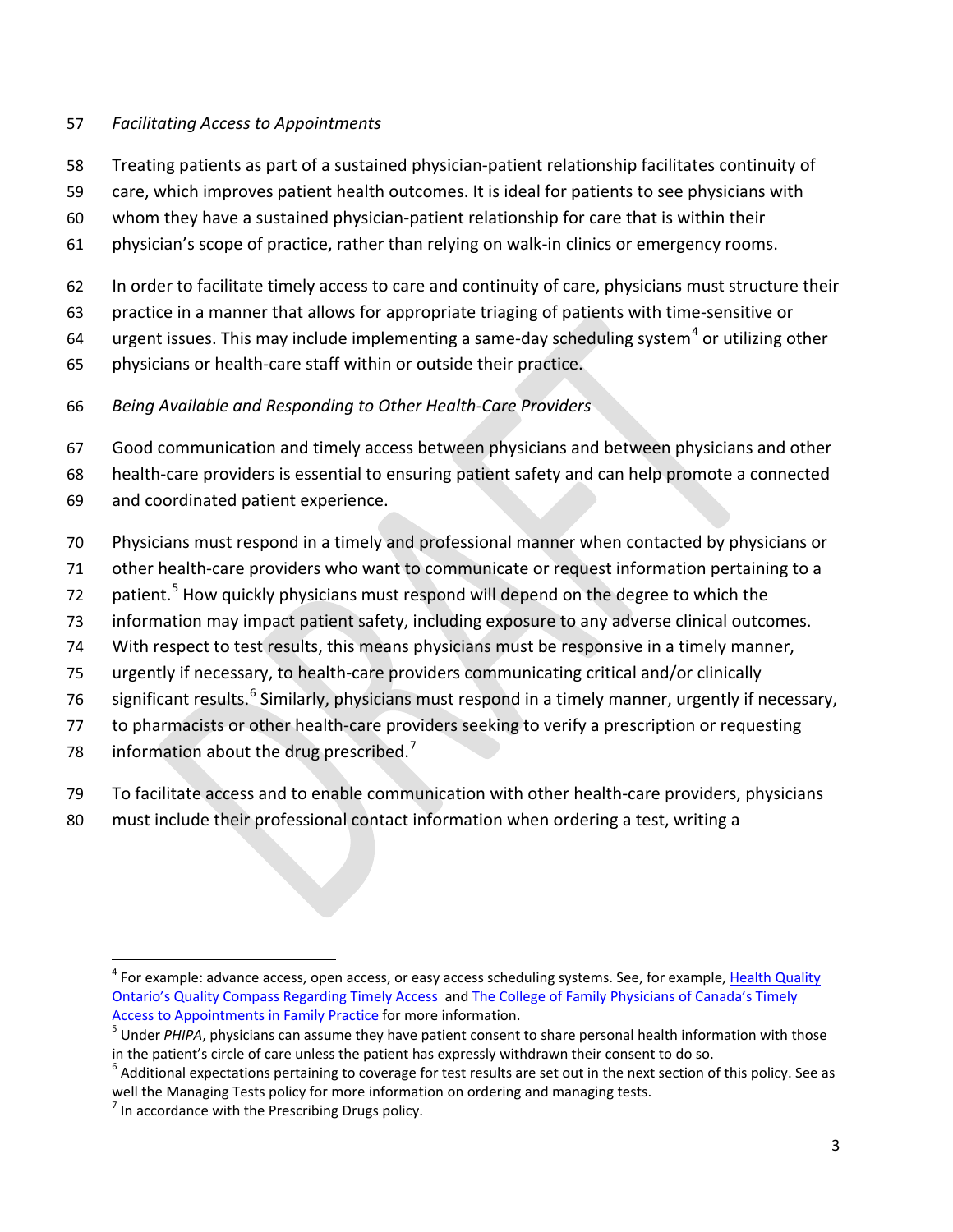#### *Facilitating Access to Appointments*

- Treating patients as part of a sustained physician-patient relationship facilitates continuity of
- care, which improves patient health outcomes. It is ideal for patients to see physicians with
- whom they have a sustained physician-patient relationship for care that is within their
- physician's scope of practice, rather than relying on walk-in clinics or emergency rooms.
- In order to facilitate timely access to care and continuity of care, physicians must structure their
- practice in a manner that allows for appropriate triaging of patients with time-sensitive or
- [4](#page-2-0) urgent issues. This may include implementing a same-day scheduling system<sup>4</sup> or utilizing other
- physicians or health-care staff within or outside their practice.
- *Being Available and Responding to Other Health-Care Providers*
- Good communication and timely access between physicians and between physicians and other
- health-care providers is essential to ensuring patient safety and can help promote a connected
- and coordinated patient experience.
- Physicians must respond in a timely and professional manner when contacted by physicians or
- other health-care providers who want to communicate or request information pertaining to a
- 72 patient.<sup>[5](#page-2-1)</sup> How quickly physicians must respond will depend on the degree to which the
- information may impact patient safety, including exposure to any adverse clinical outcomes.
- With respect to test results, this means physicians must be responsive in a timely manner,
- urgently if necessary, to health-care providers communicating critical and/or clinically
- [6](#page-2-2) significant results.<sup>6</sup> Similarly, physicians must respond in a timely manner, urgently if necessary,
- to pharmacists or other health-care providers seeking to verify a prescription or requesting
- 8 information about the drug prescribed.<sup>7</sup>
- To facilitate access and to enable communication with other health-care providers, physicians
- must include their professional contact information when ordering a test, writing a

<span id="page-2-0"></span><sup>&</sup>lt;sup>4</sup> For example: advance access, open access, or easy access scheduling systems. See, for example, Health Quality [Ontario's Quality Compass Regarding Timely Access a](http://qualitycompass.hqontario.ca/portal/primary-care/Timely-Access?extra=print#.WnhtubynG5s)n[d The College of Family Physicians of Canada's Timely](http://www.cfpc.ca/uploadedFiles/Health_Policy/_PDFs/2012_Final_Best_Advice_Enhancing_Timely_Access.pdf) 

<span id="page-2-1"></span>[Access to Appointments in Family Practice f](http://www.cfpc.ca/uploadedFiles/Health_Policy/_PDFs/2012_Final_Best_Advice_Enhancing_Timely_Access.pdf)or more information.<br><sup>5</sup> Under *PHIPA*, physicians can assume they have patient consent to share personal health information with those in the patient's circle of care unless the

<span id="page-2-2"></span> Additional expectations pertaining to coverage for test results are set out in the next section of this policy. See as well the Managing Tests policy for more information on ordering and managing tests.

<span id="page-2-3"></span> $<sup>7</sup>$  In accordance with the Prescribing Drugs policy.</sup>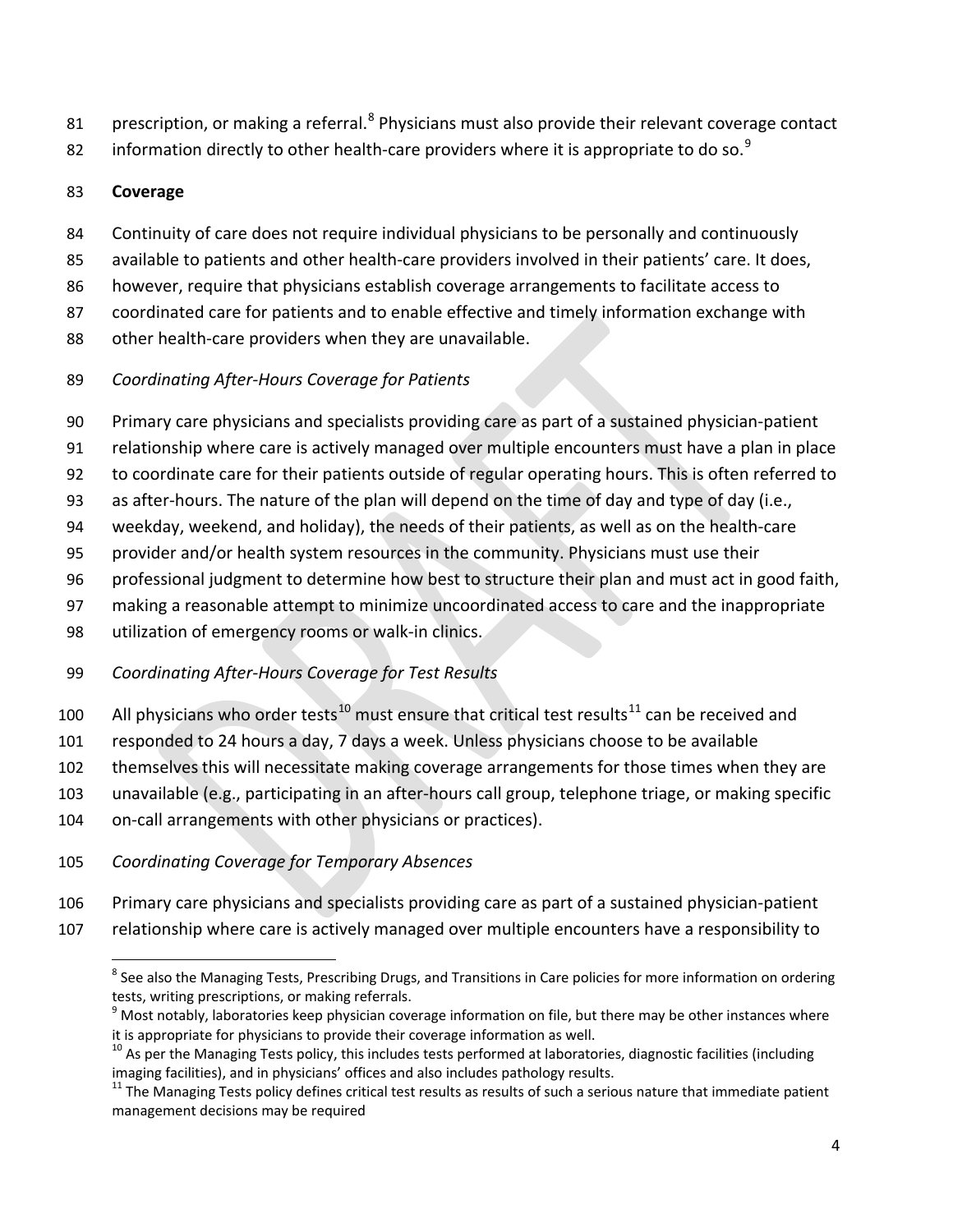- 1 Prescription, or making a referral.<sup>8</sup> Physicians must also provide their relevant coverage contact
- 82 information directly to other health-care providers where it is appropriate to do so.<sup>[9](#page-3-1)</sup>

# **Coverage**

- Continuity of care does not require individual physicians to be personally and continuously
- available to patients and other health-care providers involved in their patients' care. It does,
- however, require that physicians establish coverage arrangements to facilitate access to
- coordinated care for patients and to enable effective and timely information exchange with
- other health-care providers when they are unavailable.
- *Coordinating After-Hours Coverage for Patients*
- Primary care physicians and specialists providing care as part of a sustained physician-patient
- relationship where care is actively managed over multiple encounters must have a plan in place
- to coordinate care for their patients outside of regular operating hours. This is often referred to
- as after-hours. The nature of the plan will depend on the time of day and type of day (i.e.,
- weekday, weekend, and holiday), the needs of their patients, as well as on the health-care
- provider and/or health system resources in the community. Physicians must use their
- professional judgment to determine how best to structure their plan and must act in good faith,
- making a reasonable attempt to minimize uncoordinated access to care and the inappropriate
- utilization of emergency rooms or walk-in clinics.
- *Coordinating After-Hours Coverage for Test Results*
- 0 All physicians who order tests<sup>10</sup> must ensure that critical test results<sup>[11](#page-3-3)</sup> can be received and
- responded to 24 hours a day, 7 days a week. Unless physicians choose to be available
- themselves this will necessitate making coverage arrangements for those times when they are
- unavailable (e.g., participating in an after-hours call group, telephone triage, or making specific
- on-call arrangements with other physicians or practices).
- *Coordinating Coverage for Temporary Absences*
- Primary care physicians and specialists providing care as part of a sustained physician-patient
- <span id="page-3-1"></span><span id="page-3-0"></span>relationship where care is actively managed over multiple encounters have a responsibility to

<sup>&</sup>lt;sup>8</sup> See also the Managing Tests, Prescribing Drugs, and Transitions in Care policies for more information on ordering tests, writing prescriptions, or making referrals.

 Most notably, laboratories keep physician coverage information on file, but there may be other instances where it is appropriate for physicians to provide their coverage information as well.

<span id="page-3-2"></span> As per the Managing Tests policy, this includes tests performed at laboratories, diagnostic facilities (including imaging facilities), and in physicians' offices and also includes pathology results.

<span id="page-3-3"></span> The Managing Tests policy defines critical test results as results of such a serious nature that immediate patient management decisions may be required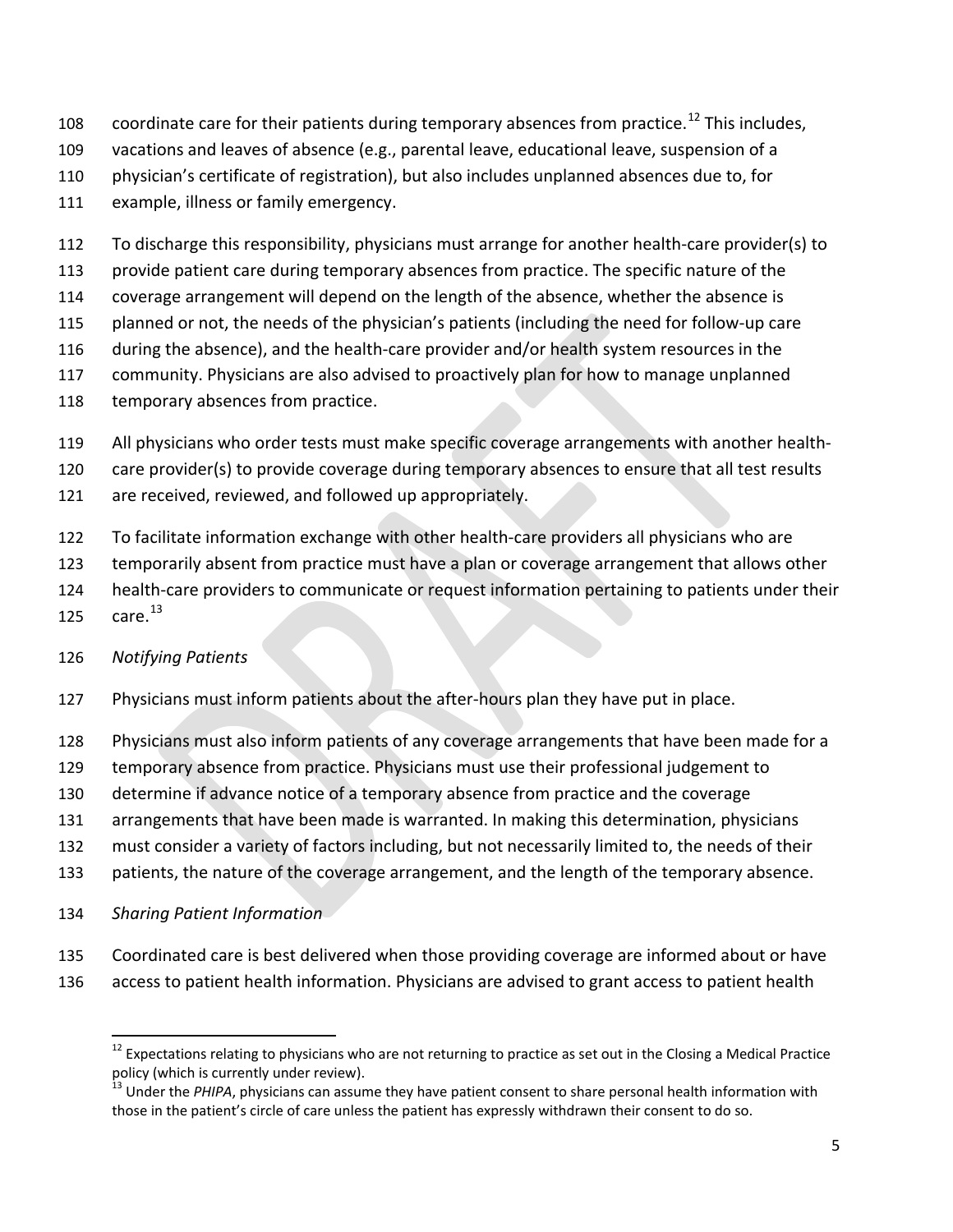- 108 coordinate care for their patients during temporary absences from practice.<sup>[12](#page-4-0)</sup> This includes,
- vacations and leaves of absence (e.g., parental leave, educational leave, suspension of a
- physician's certificate of registration), but also includes unplanned absences due to, for
- example, illness or family emergency.
- To discharge this responsibility, physicians must arrange for another health-care provider(s) to
- provide patient care during temporary absences from practice. The specific nature of the
- coverage arrangement will depend on the length of the absence, whether the absence is
- planned or not, the needs of the physician's patients (including the need for follow-up care
- during the absence), and the health-care provider and/or health system resources in the
- community. Physicians are also advised to proactively plan for how to manage unplanned
- 118 temporary absences from practice.
- All physicians who order tests must make specific coverage arrangements with another health-
- care provider(s) to provide coverage during temporary absences to ensure that all test results
- are received, reviewed, and followed up appropriately.
- To facilitate information exchange with other health-care providers all physicians who are
- temporarily absent from practice must have a plan or coverage arrangement that allows other
- health-care providers to communicate or request information pertaining to patients under their
- $\,$  care. $^{13}$  $^{13}$  $^{13}$

# *Notifying Patients*

- Physicians must inform patients about the after-hours plan they have put in place.
- Physicians must also inform patients of any coverage arrangements that have been made for a
- temporary absence from practice. Physicians must use their professional judgement to
- determine if advance notice of a temporary absence from practice and the coverage
- arrangements that have been made is warranted. In making this determination, physicians
- must consider a variety of factors including, but not necessarily limited to, the needs of their
- 133 patients, the nature of the coverage arrangement, and the length of the temporary absence.
- *Sharing Patient Information*
- Coordinated care is best delivered when those providing coverage are informed about or have
- <span id="page-4-0"></span>access to patient health information. Physicians are advised to grant access to patient health

 Expectations relating to physicians who are not returning to practice as set out in the Closing a Medical Practice policy (which is currently under review).

<span id="page-4-1"></span><sup>&</sup>lt;sup>13</sup> Under the *PHIPA*, physicians can assume they have patient consent to share personal health information with those in the patient's circle of care unless the patient has expressly withdrawn their consent to do so.